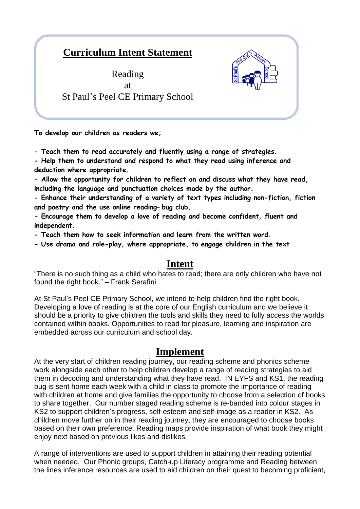## **Curriculum Intent Statement**

Reading at St Paul's Peel CE Primary School

**To develop our children as readers we;**

**- Teach them to read accurately and fluently using a range of strategies.**

**- Help them to understand and respond to what they read using inference and deduction where appropriate.**

**- Allow the opportunity for children to reflect on and discuss what they have read, including the language and punctuation choices made by the author.**

**- Enhance their understanding of a variety of text types including non-fiction, fiction and poetry and the use online reading– bug club.**

**- Encourage them to develop a love of reading and become confident, fluent and independent.**

**- Teach them how to seek information and learn from the written word.**

**- Use drama and role-play, where appropriate, to engage children in the text**

## **Intent**

"There is no such thing as a child who hates to read; there are only children who have not found the right book." – Frank Serafini

At St Paul's Peel CE Primary School, we intend to help children find the right book. Developing a love of reading is at the core of our English curriculum and we believe it should be a priority to give children the tools and skills they need to fully access the worlds contained within books. Opportunities to read for pleasure, learning and inspiration are embedded across our curriculum and school day.

## **Implement**

At the very start of children reading journey, our reading scheme and phonics scheme work alongside each other to help children develop a range of reading strategies to aid them in decoding and understanding what they have read. IN EYFS and KS1, the reading bug is sent home each week with a child in class to promote the importance of reading with children at home and give families the opportunity to choose from a selection of books to share together. Our number staged reading scheme is re-banded into colour stages in KS2 to support children's progress, self-esteem and self-image as a reader in KS2. As children move further on in their reading journey, they are encouraged to choose books based on their own preference. Reading maps provide inspiration of what book they might enjoy next based on previous likes and dislikes.

A range of interventions are used to support children in attaining their reading potential when needed. Our Phonic groups, Catch-up Literacy programme and Reading between the lines inference resources are used to aid children on their quest to becoming proficient,